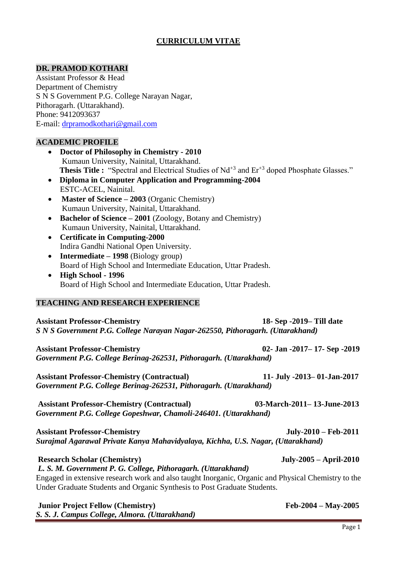## **CURRICULUM VITAE**

## **DR. PRAMOD KOTHARI**

Assistant Professor & Head Department of Chemistry S N S Government P.G. College Narayan Nagar, Pithoragarh. (Uttarakhand). Phone: 9412093637 E-mail: [drpramodkothari@gmail.com](mailto:drpramodkothari@gmail.com)

### **ACADEMIC PROFILE**

- **Doctor of Philosophy in Chemistry - 2010** Kumaun University, Nainital, Uttarakhand. **Thesis Title : "Spectral and Electrical Studies of Nd<sup>+3</sup> and Er<sup>+3</sup> doped Phosphate Glasses."**
- **Diploma in Computer Application and Programming-2004** ESTC-ACEL, Nainital.
- **Master of Science 2003** (Organic Chemistry) Kumaun University, Nainital, Uttarakhand.
- **Bachelor of Science – 2001** (Zoology, Botany and Chemistry) Kumaun University, Nainital, Uttarakhand.
- **Certificate in Computing-2000** Indira Gandhi National Open University.
- **Intermediate – 1998** (Biology group) Board of High School and Intermediate Education, Uttar Pradesh.
- **High School - 1996** Board of High School and Intermediate Education, Uttar Pradesh.

#### **TEACHING AND RESEARCH EXPERIENCE**

| <b>Assistant Professor-Chemistry</b>                                                                | 18- Sep -2019– Till date     |
|-----------------------------------------------------------------------------------------------------|------------------------------|
| S N S Government P.G. College Narayan Nagar-262550, Pithoragarh. (Uttarakhand)                      |                              |
| <b>Assistant Professor-Chemistry</b>                                                                | 02- Jan -2017–17- Sep -2019  |
| Government P.G. College Berinag-262531, Pithoragarh. (Uttarakhand)                                  |                              |
| <b>Assistant Professor-Chemistry (Contractual)</b>                                                  | 11- July -2013 - 01-Jan-2017 |
| Government P.G. College Berinag-262531, Pithoragarh. (Uttarakhand)                                  |                              |
| <b>Assistant Professor-Chemistry (Contractual)</b>                                                  | 03-March-2011–13-June-2013   |
| Government P.G. College Gopeshwar, Chamoli-246401. (Uttarakhand)                                    |                              |
| <b>Assistant Professor-Chemistry</b>                                                                | July-2010 - Feb-2011         |
| Surajmal Agarawal Private Kanya Mahavidyalaya, Kichha, U.S. Nagar, (Uttarakhand)                    |                              |
| <b>Research Scholar (Chemistry)</b>                                                                 | July-2005 - April-2010       |
| L. S. M. Government P. G. College, Pithoragarh. (Uttarakhand)                                       |                              |
| Engaged in extensive research work and also taught Inorganic, Organic and Physical Chemistry to the |                              |

#### Engaged in extensive research work and also taught Inorganic, Organic and Physical Chemistry to the Under Graduate Students and Organic Synthesis to Post Graduate Students.

# **Junior Project Fellow (Chemistry) Feb-2004 – May-2005**

*S. S. J. Campus College, Almora. (Uttarakhand)*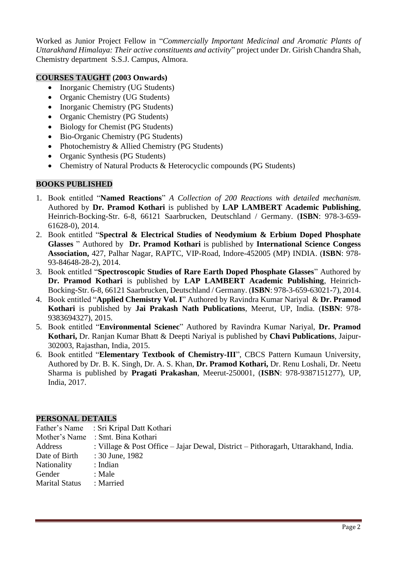Worked as Junior Project Fellow in "*Commercially Important Medicinal and Aromatic Plants of Uttarakhand Himalaya: Their active constituents and activity*" project under Dr. Girish Chandra Shah, Chemistry department S.S.J. Campus, Almora.

#### **COURSES TAUGHT (2003 Onwards)**

- Inorganic Chemistry (UG Students)
- Organic Chemistry (UG Students)
- Inorganic Chemistry (PG Students)
- Organic Chemistry (PG Students)
- Biology for Chemist (PG Students)
- Bio-Organic Chemistry (PG Students)
- Photochemistry & Allied Chemistry (PG Students)
- Organic Synthesis (PG Students)
- Chemistry of Natural Products & Heterocyclic compounds (PG Students)

#### **BOOKS PUBLISHED**

- 1. Book entitled "**Named Reactions**" *A Collection of 200 Reactions with detailed mechanism.* Authored by **Dr. Pramod Kothari** is published by **LAP LAMBERT Academic Publishing**, Heinrich-Bocking-Str. 6-8, 66121 Saarbrucken, Deutschland / Germany. (**ISBN**: 978-3-659- 61628-0), 2014.
- 2. Book entitled "**Spectral & Electrical Studies of Neodymium & Erbium Doped Phosphate Glasses** " Authored by **Dr. Pramod Kothari** is published by **International Science Congess Association,** 427, Palhar Nagar, RAPTC, VIP-Road, Indore-452005 (MP) INDIA. (**ISBN**: 978- 93-84648-28-2), 2014.
- 3. Book entitled "**Spectroscopic Studies of Rare Earth Doped Phosphate Glasses**" Authored by **Dr. Pramod Kothari** is published by **LAP LAMBERT Academic Publishing**, Heinrich-Bocking-Str. 6-8, 66121 Saarbrucken, Deutschland / Germany. (**ISBN**: 978-3-659-63021-7), 2014.
- 4. Book entitled "**Applied Chemistry Vol. I**" Authored by Ravindra Kumar Nariyal & **Dr. Pramod Kothari** is published by **Jai Prakash Nath Publications**, Meerut, UP, India. (**ISBN**: 978- 9383694327), 2015.
- 5. Book entitled "**Environmental Scienec**" Authored by Ravindra Kumar Nariyal, **Dr. Pramod Kothari,** Dr. Ranjan Kumar Bhatt & Deepti Nariyal is published by **Chavi Publications**, Jaipur-302003, Rajasthan, India, 2015.
- 6. Book entitled "**Elementary Textbook of Chemistry-III**", CBCS Pattern Kumaun University, Authored by Dr. B. K. Singh, Dr. A. S. Khan, **Dr. Pramod Kothari,** Dr. Renu Loshali, Dr. Neetu Sharma is published by **Pragati Prakashan**, Meerut-250001, (**ISBN**: 978-9387151277), UP, India, 2017.

#### **PERSONAL DETAILS**

|                       | Father's Name: Sri Kripal Datt Kothari                                             |
|-----------------------|------------------------------------------------------------------------------------|
| Mother's Name         | : Smt. Bina Kothari                                                                |
| Address               | : Village & Post Office – Jajar Dewal, District – Pithoragarh, Uttarakhand, India. |
| Date of Birth         | : 30 June, $1982$                                                                  |
| Nationality           | : Indian                                                                           |
| Gender                | : Male                                                                             |
| <b>Marital Status</b> | : Married                                                                          |
|                       |                                                                                    |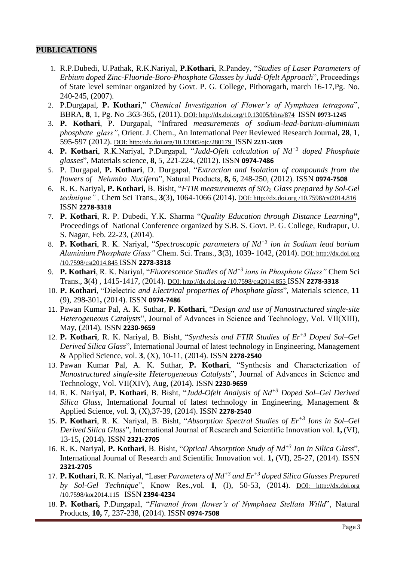### **PUBLICATIONS**

- 1. R.P.Dubedi, U.Pathak, R.K.Nariyal, **P.Kothari**, R.Pandey, "*Studies of Laser Parameters of Erbium doped Zinc-Fluoride-Boro-Phosphate Glasses by Judd-Ofelt Approach*", Proceedings of State level seminar organized by Govt. P. G. College, Pithoragarh, march 16-17,Pg. No. 240-245, (2007).
- 2. P.Durgapal, **P. Kothari**," *Chemical Investigation of Flower's of Nymphaea tetragona*", BBRA, **8**, 1, Pg. No .363-365, (2011). DOI: <http://dx.doi.org/10.13005/bbra/874>ISSN **0973-1245**
- 3. **P. Kothari**, P. Durgapal, "Infrared *measurements of sodium-lead-barium-aluminium phosphate glass"*, Orient. J. Chem., An International Peer Reviewed Research Journal**, 28**, 1, 595-597 (2012). DOI:<http://dx.doi.org/10.13005/ojc/280179>ISSN **2231-5039**
- 4. **P. Kothari**, R.K.Nariyal, P.Durgapal, "*Judd-Ofelt calculation of Nd+3 doped Phosphate glasses*", Materials science, **8**, 5, 221-224, (2012). ISSN **0974-7486**
- 5. P. Durgapal, **P. Kothari**, D. Durgapal, "*Extraction and Isolation of compounds from the flowers of Nelumbo Nucifera*", Natural Products, **8,** 6, 248-250, (2012). ISSN **0974-7508**
- 6. R. K. Nariyal**, P. Kothari,** B. Bisht, "*FTIR measurements of SiO<sup>2</sup> Glass prepared by Sol-Gel technique" ,* Chem Sci Trans., **3**(3), 1064-1066 (2014). DOI: http://dx.doi.org /10.7598/cst2014.816 ISSN **2278-3318**
- 7. **P. Kothari**, R. P. Dubedi, Y.K. Sharma "*Quality Education through Distance Learning***",**  Proceedings of National Conference organized by S.B. S. Govt. P. G. College, Rudrapur, U. S. Nagar, Feb. 22-23, (2014).
- 8. **P. Kothari**, R. K. Nariyal, "*Spectroscopic parameters of Nd+3 ion in Sodium lead barium Aluminium Phosphate Glass"* Chem. Sci. Trans., **3**(3), 1039- 1042, (2014). DOI: http://dx.doi.org /10.7598/cst2014.845 ISSN **2278-3318**
- 9. **P. Kothari**, R. K. Nariyal, "*Fluorescence Studies of Nd+3 ions in Phosphate Glass"* Chem Sci Trans., **3**(4) , 1415-1417, (2014). DOI: http://dx.doi.org /10.7598/cst2014.855 ISSN **2278-3318**
- 10. **P. Kothari**, "Dielectric *and Electrical properties of Phosphate glass*"*,* Materials science, **11** (9), 298-301**,** (2014). ISSN **0974-7486**
- 11. Pawan Kumar Pal, A. K. Suthar, **P. Kothari**, "*Design and use of Nanostructured single-site Heterogeneous Catalysts*", Journal of Advances in Science and Technology, Vol. VII(XIII), May, (2014). ISSN **2230-9659**
- 12. **P. Kothari**, R. K. Nariyal, B. Bisht, "*Synthesis and FTIR Studies of Er+3 Doped Sol–Gel Derived Silica Glass*", International Journal of latest technology in Engineering, Management & Applied Science, vol. **3**, (X), 10-11, (2014). ISSN **2278-2540**
- 13. Pawan Kumar Pal, A. K. Suthar, **P. Kothari**, "Synthesis and Characterization of *Nanostructured single-site Heterogeneous Catalysts*", Journal of Advances in Science and Technology, Vol. VII(XIV), Aug, (2014). ISSN **2230-9659**
- 14. R. K. Nariyal, **P. Kothari**, B. Bisht, "*Judd-Ofelt Analysis of Nd+3 Doped Sol–Gel Derived Silica Glass*, International Journal of latest technology in Engineering, Management & Applied Science, vol. **3**, (X),37-39, (2014). ISSN **2278-2540**
- 15. **P. Kothari**, R. K. Nariyal, B. Bisht, "*Absorption Spectral Studies of Er+3 Ions in Sol–Gel Derived Silica Glass*", International Journal of Research and Scientific Innovation vol. **1,** (VI), 13-15, (2014). ISSN **2321-2705**
- 16. R. K. Nariyal, **P. Kothari**, B. Bisht, "*Optical Absorption Study of Nd+3 Ion in Silica Glass*", International Journal of Research and Scientific Innovation vol. **1,** (VI), 25-27, (2014). ISSN **2321-2705**
- 17. **P. Kothari**, R. K. Nariyal, "Laser *Parameters of Nd+3 and Er+3 doped Silica Glasses Prepared by Sol-Gel Technique*", Know Res.,vol. **I**, (I), 50-53, (2014). DOI: http://dx.doi.org /10.7598/kor2014.115 ISSN **2394-4234**
- 18. **P. Kothari,** P.Durgapal, "*Flavanol from flower's of Nymphaea Stellata Willd*", Natural Products, **10,** 7, 237-238, (2014). ISSN **0974-7508**